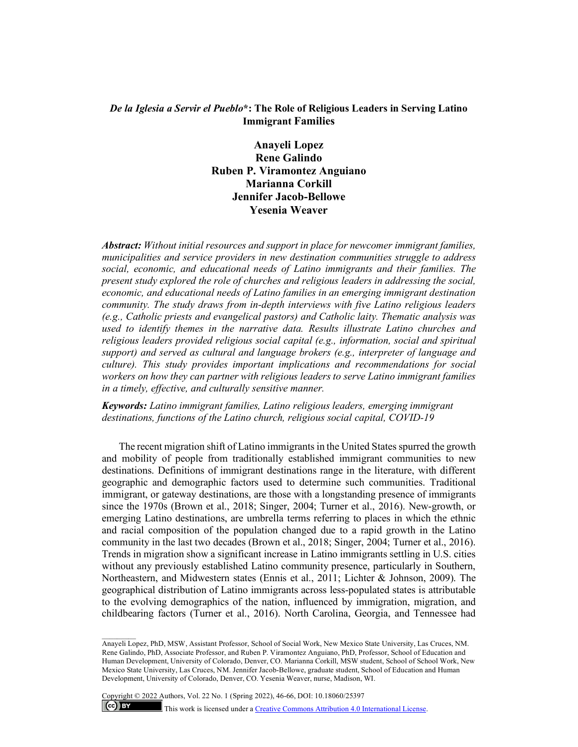# *De la Iglesia a Servir el Pueblo***\*: The Role of Religious Leaders in Serving Latino Immigrant Families**

**Anayeli Lopez Rene Galindo Ruben P. Viramontez Anguiano Marianna Corkill Jennifer Jacob-Bellowe Yesenia Weaver**

*Abstract: Without initial resources and support in place for newcomer immigrant families, municipalities and service providers in new destination communities struggle to address social, economic, and educational needs of Latino immigrants and their families. The present study explored the role of churches and religious leaders in addressing the social, economic, and educational needs of Latino families in an emerging immigrant destination community. The study draws from in-depth interviews with five Latino religious leaders (e.g., Catholic priests and evangelical pastors) and Catholic laity. Thematic analysis was used to identify themes in the narrative data. Results illustrate Latino churches and religious leaders provided religious social capital (e.g., information, social and spiritual support) and served as cultural and language brokers (e.g., interpreter of language and culture). This study provides important implications and recommendations for social workers on how they can partner with religious leaders to serve Latino immigrant families in a timely, effective, and culturally sensitive manner.* 

*Keywords: Latino immigrant families, Latino religious leaders, emerging immigrant destinations, functions of the Latino church, religious social capital, COVID-19*

The recent migration shift of Latino immigrants in the United States spurred the growth and mobility of people from traditionally established immigrant communities to new destinations. Definitions of immigrant destinations range in the literature, with different geographic and demographic factors used to determine such communities. Traditional immigrant, or gateway destinations, are those with a longstanding presence of immigrants since the 1970s (Brown et al., 2018; Singer, 2004; Turner et al., 2016). New-growth, or emerging Latino destinations, are umbrella terms referring to places in which the ethnic and racial composition of the population changed due to a rapid growth in the Latino community in the last two decades (Brown et al., 2018; Singer, 2004; Turner et al., 2016). Trends in migration show a significant increase in Latino immigrants settling in U.S. cities without any previously established Latino community presence, particularly in Southern, Northeastern, and Midwestern states (Ennis et al., 2011; Lichter & Johnson, 2009). The geographical distribution of Latino immigrants across less-populated states is attributable to the evolving demographics of the nation, influenced by immigration, migration, and childbearing factors (Turner et al., 2016). North Carolina, Georgia, and Tennessee had

 $\mathcal{L}=\mathcal{L}$ 

Anayeli Lopez, PhD, MSW, Assistant Professor, School of Social Work, New Mexico State University, Las Cruces, NM. Rene Galindo, PhD, Associate Professor, and Ruben P. Viramontez Anguiano, PhD, Professor, School of Education and Human Development, University of Colorado, Denver, CO. Marianna Corkill, MSW student, School of School Work, New Mexico State University, Las Cruces, NM. Jennifer Jacob-Bellowe, graduate student, School of Education and Human Development, University of Colorado, Denver, CO. Yesenia Weaver, nurse, Madison, WI.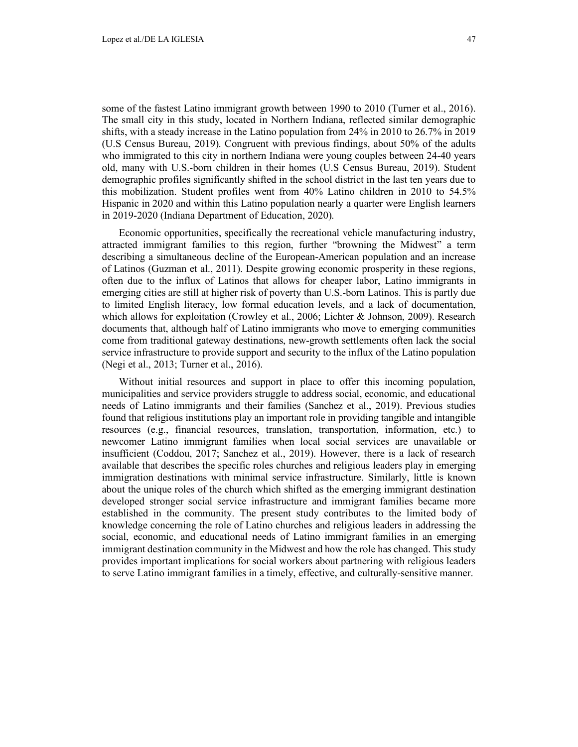some of the fastest Latino immigrant growth between 1990 to 2010 (Turner et al., 2016). The small city in this study, located in Northern Indiana, reflected similar demographic shifts, with a steady increase in the Latino population from 24% in 2010 to 26.7% in 2019 (U.S Census Bureau, 2019). Congruent with previous findings, about 50% of the adults who immigrated to this city in northern Indiana were young couples between 24-40 years old, many with U.S.-born children in their homes (U.S Census Bureau, 2019). Student demographic profiles significantly shifted in the school district in the last ten years due to this mobilization. Student profiles went from 40% Latino children in 2010 to 54.5% Hispanic in 2020 and within this Latino population nearly a quarter were English learners in 2019-2020 (Indiana Department of Education, 2020).

Economic opportunities, specifically the recreational vehicle manufacturing industry, attracted immigrant families to this region, further "browning the Midwest" a term describing a simultaneous decline of the European-American population and an increase of Latinos (Guzman et al., 2011). Despite growing economic prosperity in these regions, often due to the influx of Latinos that allows for cheaper labor, Latino immigrants in emerging cities are still at higher risk of poverty than U.S.-born Latinos. This is partly due to limited English literacy, low formal education levels, and a lack of documentation, which allows for exploitation (Crowley et al., 2006; Lichter & Johnson, 2009). Research documents that, although half of Latino immigrants who move to emerging communities come from traditional gateway destinations, new-growth settlements often lack the social service infrastructure to provide support and security to the influx of the Latino population (Negi et al., 2013; Turner et al., 2016).

Without initial resources and support in place to offer this incoming population, municipalities and service providers struggle to address social, economic, and educational needs of Latino immigrants and their families (Sanchez et al., 2019). Previous studies found that religious institutions play an important role in providing tangible and intangible resources (e.g., financial resources, translation, transportation, information, etc.) to newcomer Latino immigrant families when local social services are unavailable or insufficient (Coddou, 2017; Sanchez et al., 2019). However, there is a lack of research available that describes the specific roles churches and religious leaders play in emerging immigration destinations with minimal service infrastructure. Similarly, little is known about the unique roles of the church which shifted as the emerging immigrant destination developed stronger social service infrastructure and immigrant families became more established in the community. The present study contributes to the limited body of knowledge concerning the role of Latino churches and religious leaders in addressing the social, economic, and educational needs of Latino immigrant families in an emerging immigrant destination community in the Midwest and how the role has changed. This study provides important implications for social workers about partnering with religious leaders to serve Latino immigrant families in a timely, effective, and culturally-sensitive manner.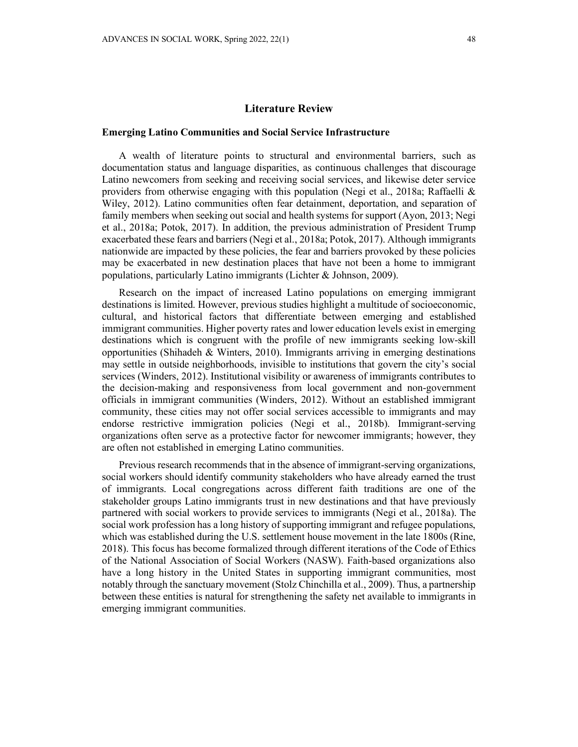### **Literature Review**

### **Emerging Latino Communities and Social Service Infrastructure**

A wealth of literature points to structural and environmental barriers, such as documentation status and language disparities, as continuous challenges that discourage Latino newcomers from seeking and receiving social services, and likewise deter service providers from otherwise engaging with this population (Negi et al., 2018a; Raffaelli & Wiley, 2012). Latino communities often fear detainment, deportation, and separation of family members when seeking out social and health systems for support (Ayon, 2013; Negi et al., 2018a; Potok, 2017). In addition, the previous administration of President Trump exacerbated these fears and barriers (Negi et al., 2018a; Potok, 2017). Although immigrants nationwide are impacted by these policies, the fear and barriers provoked by these policies may be exacerbated in new destination places that have not been a home to immigrant populations, particularly Latino immigrants (Lichter & Johnson, 2009).

Research on the impact of increased Latino populations on emerging immigrant destinations is limited. However, previous studies highlight a multitude of socioeconomic, cultural, and historical factors that differentiate between emerging and established immigrant communities. Higher poverty rates and lower education levels exist in emerging destinations which is congruent with the profile of new immigrants seeking low-skill opportunities (Shihadeh & Winters, 2010). Immigrants arriving in emerging destinations may settle in outside neighborhoods, invisible to institutions that govern the city's social services (Winders, 2012). Institutional visibility or awareness of immigrants contributes to the decision-making and responsiveness from local government and non-government officials in immigrant communities (Winders, 2012). Without an established immigrant community, these cities may not offer social services accessible to immigrants and may endorse restrictive immigration policies (Negi et al., 2018b). Immigrant-serving organizations often serve as a protective factor for newcomer immigrants; however, they are often not established in emerging Latino communities.

Previous research recommends that in the absence of immigrant-serving organizations, social workers should identify community stakeholders who have already earned the trust of immigrants. Local congregations across different faith traditions are one of the stakeholder groups Latino immigrants trust in new destinations and that have previously partnered with social workers to provide services to immigrants (Negi et al., 2018a). The social work profession has a long history of supporting immigrant and refugee populations, which was established during the U.S. settlement house movement in the late 1800s (Rine, 2018). This focus has become formalized through different iterations of the Code of Ethics of the National Association of Social Workers (NASW). Faith-based organizations also have a long history in the United States in supporting immigrant communities, most notably through the sanctuary movement (Stolz Chinchilla et al., 2009). Thus, a partnership between these entities is natural for strengthening the safety net available to immigrants in emerging immigrant communities.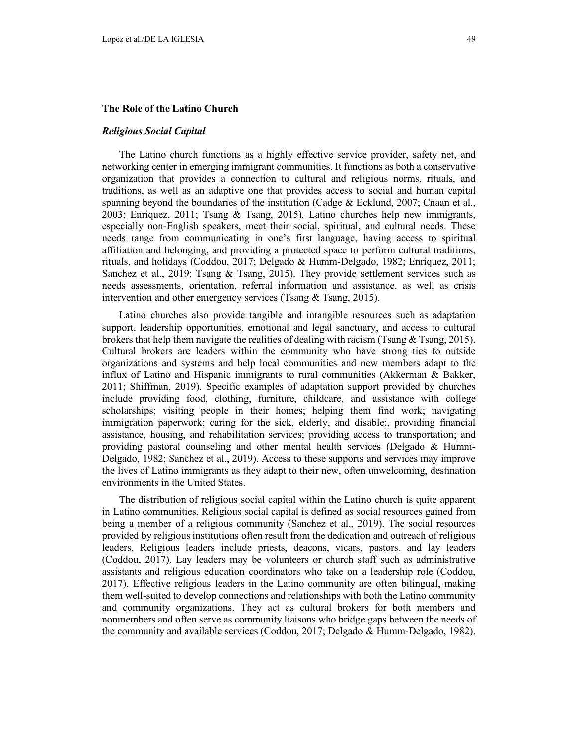### **The Role of the Latino Church**

#### *Religious Social Capital*

The Latino church functions as a highly effective service provider, safety net, and networking center in emerging immigrant communities. It functions as both a conservative organization that provides a connection to cultural and religious norms, rituals, and traditions, as well as an adaptive one that provides access to social and human capital spanning beyond the boundaries of the institution (Cadge & Ecklund, 2007; Cnaan et al., 2003; Enriquez, 2011; Tsang & Tsang, 2015). Latino churches help new immigrants, especially non-English speakers, meet their social, spiritual, and cultural needs. These needs range from communicating in one's first language, having access to spiritual affiliation and belonging, and providing a protected space to perform cultural traditions, rituals, and holidays (Coddou, 2017; Delgado & Humm-Delgado, 1982; Enriquez, 2011; Sanchez et al., 2019; Tsang & Tsang, 2015). They provide settlement services such as needs assessments, orientation, referral information and assistance, as well as crisis intervention and other emergency services (Tsang & Tsang, 2015).

Latino churches also provide tangible and intangible resources such as adaptation support, leadership opportunities, emotional and legal sanctuary, and access to cultural brokers that help them navigate the realities of dealing with racism (Tsang  $&$  Tsang, 2015). Cultural brokers are leaders within the community who have strong ties to outside organizations and systems and help local communities and new members adapt to the influx of Latino and Hispanic immigrants to rural communities (Akkerman & Bakker, 2011; Shiffman, 2019). Specific examples of adaptation support provided by churches include providing food, clothing, furniture, childcare, and assistance with college scholarships; visiting people in their homes; helping them find work; navigating immigration paperwork; caring for the sick, elderly, and disable;, providing financial assistance, housing, and rehabilitation services; providing access to transportation; and providing pastoral counseling and other mental health services (Delgado & Humm-Delgado, 1982; Sanchez et al., 2019). Access to these supports and services may improve the lives of Latino immigrants as they adapt to their new, often unwelcoming, destination environments in the United States.

The distribution of religious social capital within the Latino church is quite apparent in Latino communities. Religious social capital is defined as social resources gained from being a member of a religious community (Sanchez et al., 2019). The social resources provided by religious institutions often result from the dedication and outreach of religious leaders. Religious leaders include priests, deacons, vicars, pastors, and lay leaders (Coddou, 2017). Lay leaders may be volunteers or church staff such as administrative assistants and religious education coordinators who take on a leadership role (Coddou, 2017). Effective religious leaders in the Latino community are often bilingual, making them well-suited to develop connections and relationships with both the Latino community and community organizations. They act as cultural brokers for both members and nonmembers and often serve as community liaisons who bridge gaps between the needs of the community and available services (Coddou, 2017; Delgado & Humm-Delgado, 1982).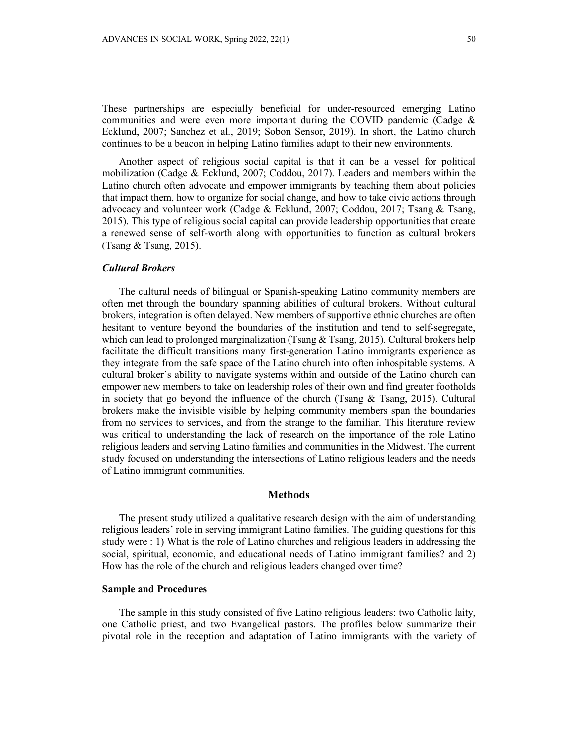These partnerships are especially beneficial for under-resourced emerging Latino communities and were even more important during the COVID pandemic (Cadge  $\&$ Ecklund, 2007; Sanchez et al., 2019; Sobon Sensor, 2019). In short, the Latino church continues to be a beacon in helping Latino families adapt to their new environments.

Another aspect of religious social capital is that it can be a vessel for political mobilization (Cadge & Ecklund, 2007; Coddou, 2017). Leaders and members within the Latino church often advocate and empower immigrants by teaching them about policies that impact them, how to organize for social change, and how to take civic actions through advocacy and volunteer work (Cadge & Ecklund, 2007; Coddou, 2017; Tsang & Tsang, 2015). This type of religious social capital can provide leadership opportunities that create a renewed sense of self-worth along with opportunities to function as cultural brokers (Tsang & Tsang, 2015).

#### *Cultural Brokers*

The cultural needs of bilingual or Spanish-speaking Latino community members are often met through the boundary spanning abilities of cultural brokers. Without cultural brokers, integration is often delayed. New members of supportive ethnic churches are often hesitant to venture beyond the boundaries of the institution and tend to self-segregate, which can lead to prolonged marginalization (Tsang & Tsang, 2015). Cultural brokers help facilitate the difficult transitions many first-generation Latino immigrants experience as they integrate from the safe space of the Latino church into often inhospitable systems. A cultural broker's ability to navigate systems within and outside of the Latino church can empower new members to take on leadership roles of their own and find greater footholds in society that go beyond the influence of the church (Tsang  $\&$  Tsang, 2015). Cultural brokers make the invisible visible by helping community members span the boundaries from no services to services, and from the strange to the familiar. This literature review was critical to understanding the lack of research on the importance of the role Latino religious leaders and serving Latino families and communities in the Midwest. The current study focused on understanding the intersections of Latino religious leaders and the needs of Latino immigrant communities.

## **Methods**

The present study utilized a qualitative research design with the aim of understanding religious leaders' role in serving immigrant Latino families. The guiding questions for this study were : 1) What is the role of Latino churches and religious leaders in addressing the social, spiritual, economic, and educational needs of Latino immigrant families? and 2) How has the role of the church and religious leaders changed over time?

## **Sample and Procedures**

The sample in this study consisted of five Latino religious leaders: two Catholic laity, one Catholic priest, and two Evangelical pastors. The profiles below summarize their pivotal role in the reception and adaptation of Latino immigrants with the variety of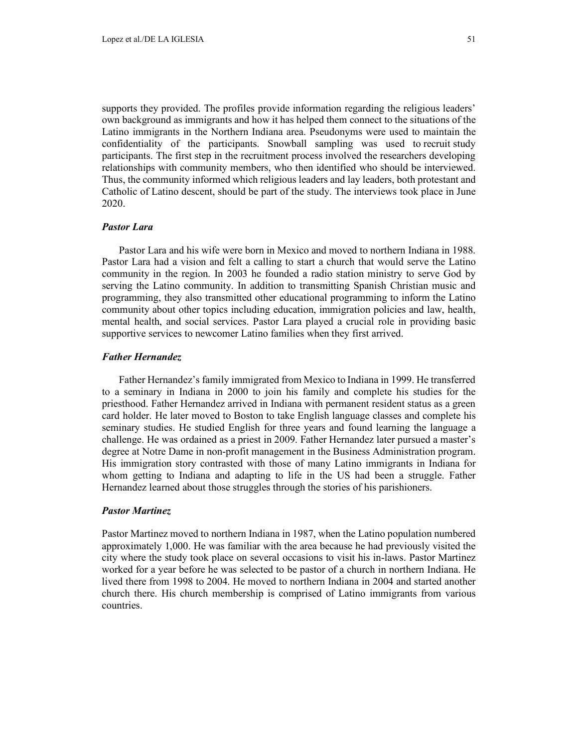supports they provided. The profiles provide information regarding the religious leaders' own background as immigrants and how it has helped them connect to the situations of the Latino immigrants in the Northern Indiana area. Pseudonyms were used to maintain the confidentiality of the participants. Snowball sampling was used to recruit study participants. The first step in the recruitment process involved the researchers developing relationships with community members, who then identified who should be interviewed. Thus, the community informed which religious leaders and lay leaders, both protestant and Catholic of Latino descent, should be part of the study. The interviews took place in June 2020.

#### *Pastor Lara*

Pastor Lara and his wife were born in Mexico and moved to northern Indiana in 1988. Pastor Lara had a vision and felt a calling to start a church that would serve the Latino community in the region. In 2003 he founded a radio station ministry to serve God by serving the Latino community. In addition to transmitting Spanish Christian music and programming, they also transmitted other educational programming to inform the Latino community about other topics including education, immigration policies and law, health, mental health, and social services. Pastor Lara played a crucial role in providing basic supportive services to newcomer Latino families when they first arrived.

## *Father Hernandez*

Father Hernandez's family immigrated from Mexico to Indiana in 1999. He transferred to a seminary in Indiana in 2000 to join his family and complete his studies for the priesthood. Father Hernandez arrived in Indiana with permanent resident status as a green card holder. He later moved to Boston to take English language classes and complete his seminary studies. He studied English for three years and found learning the language a challenge. He was ordained as a priest in 2009. Father Hernandez later pursued a master's degree at Notre Dame in non-profit management in the Business Administration program. His immigration story contrasted with those of many Latino immigrants in Indiana for whom getting to Indiana and adapting to life in the US had been a struggle. Father Hernandez learned about those struggles through the stories of his parishioners.

## *Pastor Martinez*

Pastor Martinez moved to northern Indiana in 1987, when the Latino population numbered approximately 1,000. He was familiar with the area because he had previously visited the city where the study took place on several occasions to visit his in-laws. Pastor Martinez worked for a year before he was selected to be pastor of a church in northern Indiana. He lived there from 1998 to 2004. He moved to northern Indiana in 2004 and started another church there. His church membership is comprised of Latino immigrants from various countries.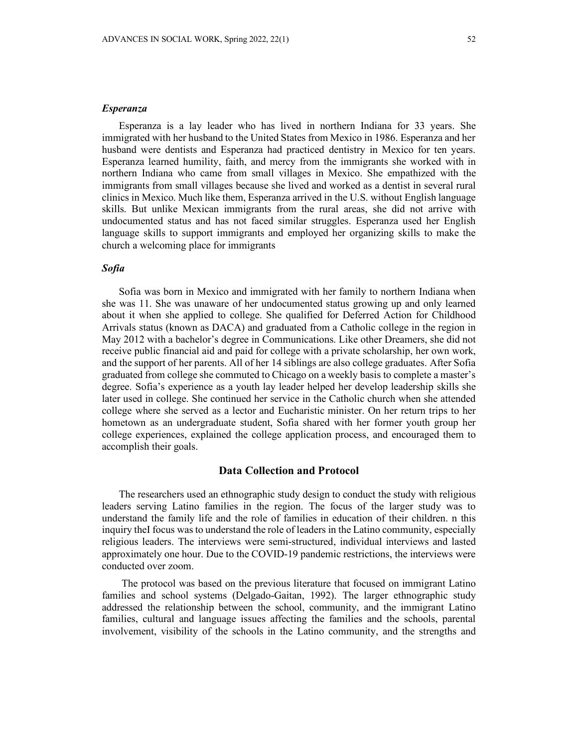#### *Esperanza*

Esperanza is a lay leader who has lived in northern Indiana for 33 years. She immigrated with her husband to the United States from Mexico in 1986. Esperanza and her husband were dentists and Esperanza had practiced dentistry in Mexico for ten years. Esperanza learned humility, faith, and mercy from the immigrants she worked with in northern Indiana who came from small villages in Mexico. She empathized with the immigrants from small villages because she lived and worked as a dentist in several rural clinics in Mexico. Much like them, Esperanza arrived in the U.S. without English language skills. But unlike Mexican immigrants from the rural areas, she did not arrive with undocumented status and has not faced similar struggles. Esperanza used her English language skills to support immigrants and employed her organizing skills to make the church a welcoming place for immigrants

### *Sofia*

Sofia was born in Mexico and immigrated with her family to northern Indiana when she was 11. She was unaware of her undocumented status growing up and only learned about it when she applied to college. She qualified for Deferred Action for Childhood Arrivals status (known as DACA) and graduated from a Catholic college in the region in May 2012 with a bachelor's degree in Communications. Like other Dreamers, she did not receive public financial aid and paid for college with a private scholarship, her own work, and the support of her parents. All of her 14 siblings are also college graduates. After Sofia graduated from college she commuted to Chicago on a weekly basis to complete a master's degree. Sofia's experience as a youth lay leader helped her develop leadership skills she later used in college. She continued her service in the Catholic church when she attended college where she served as a lector and Eucharistic minister. On her return trips to her hometown as an undergraduate student, Sofia shared with her former youth group her college experiences, explained the college application process, and encouraged them to accomplish their goals.

### **Data Collection and Protocol**

The researchers used an ethnographic study design to conduct the study with religious leaders serving Latino families in the region. The focus of the larger study was to understand the family life and the role of families in education of their children. n this inquiry theI focus was to understand the role of leaders in the Latino community, especially religious leaders. The interviews were semi-structured, individual interviews and lasted approximately one hour. Due to the COVID-19 pandemic restrictions, the interviews were conducted over zoom.

The protocol was based on the previous literature that focused on immigrant Latino families and school systems (Delgado-Gaitan, 1992). The larger ethnographic study addressed the relationship between the school, community, and the immigrant Latino families, cultural and language issues affecting the families and the schools, parental involvement, visibility of the schools in the Latino community, and the strengths and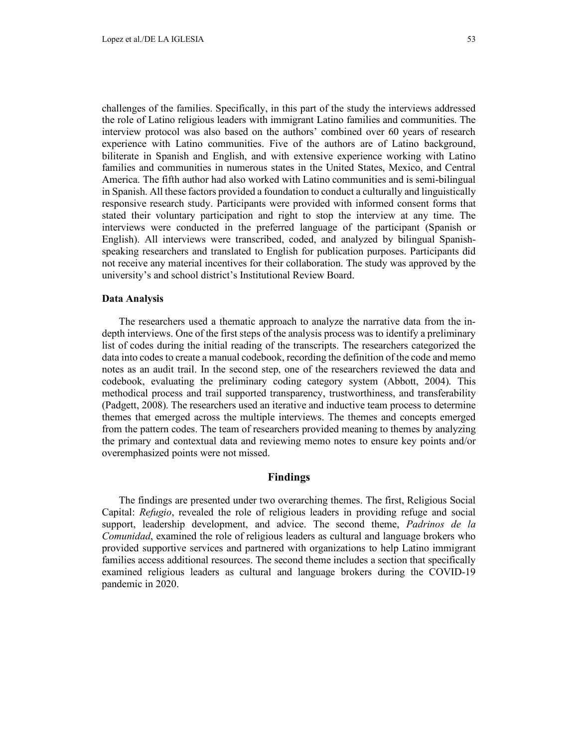challenges of the families. Specifically, in this part of the study the interviews addressed the role of Latino religious leaders with immigrant Latino families and communities. The interview protocol was also based on the authors' combined over 60 years of research experience with Latino communities. Five of the authors are of Latino background, biliterate in Spanish and English, and with extensive experience working with Latino families and communities in numerous states in the United States, Mexico, and Central America. The fifth author had also worked with Latino communities and is semi-bilingual in Spanish. All these factors provided a foundation to conduct a culturally and linguistically responsive research study. Participants were provided with informed consent forms that stated their voluntary participation and right to stop the interview at any time. The interviews were conducted in the preferred language of the participant (Spanish or English). All interviews were transcribed, coded, and analyzed by bilingual Spanishspeaking researchers and translated to English for publication purposes. Participants did not receive any material incentives for their collaboration. The study was approved by the university's and school district's Institutional Review Board.

### **Data Analysis**

The researchers used a thematic approach to analyze the narrative data from the indepth interviews. One of the first steps of the analysis process was to identify a preliminary list of codes during the initial reading of the transcripts. The researchers categorized the data into codes to create a manual codebook, recording the definition of the code and memo notes as an audit trail. In the second step, one of the researchers reviewed the data and codebook, evaluating the preliminary coding category system (Abbott, 2004). This methodical process and trail supported transparency, trustworthiness, and transferability (Padgett, 2008). The researchers used an iterative and inductive team process to determine themes that emerged across the multiple interviews. The themes and concepts emerged from the pattern codes. The team of researchers provided meaning to themes by analyzing the primary and contextual data and reviewing memo notes to ensure key points and/or overemphasized points were not missed.

# **Findings**

The findings are presented under two overarching themes. The first, Religious Social Capital: *Refugio*, revealed the role of religious leaders in providing refuge and social support, leadership development, and advice. The second theme, *Padrinos de la Comunidad*, examined the role of religious leaders as cultural and language brokers who provided supportive services and partnered with organizations to help Latino immigrant families access additional resources. The second theme includes a section that specifically examined religious leaders as cultural and language brokers during the COVID-19 pandemic in 2020.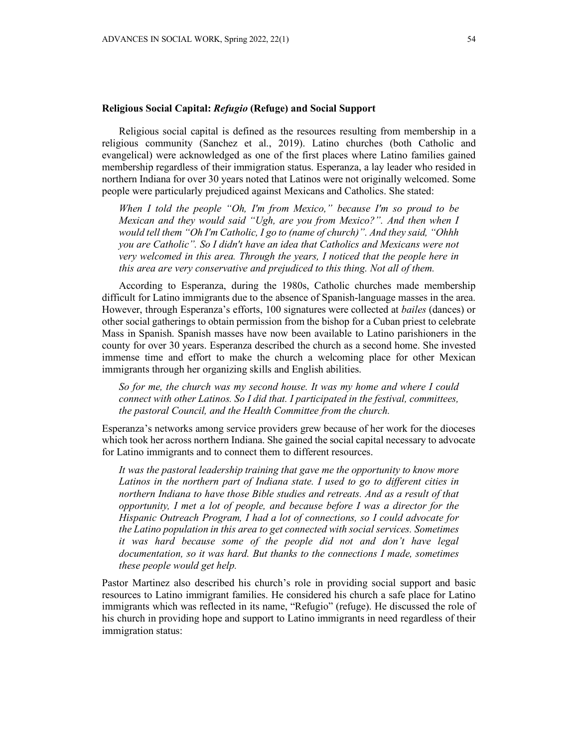### **Religious Social Capital:** *Refugio* **(Refuge) and Social Support**

Religious social capital is defined as the resources resulting from membership in a religious community (Sanchez et al., 2019). Latino churches (both Catholic and evangelical) were acknowledged as one of the first places where Latino families gained membership regardless of their immigration status. Esperanza, a lay leader who resided in northern Indiana for over 30 years noted that Latinos were not originally welcomed. Some people were particularly prejudiced against Mexicans and Catholics. She stated:

*When I told the people "Oh, I'm from Mexico," because I'm so proud to be Mexican and they would said "Ugh, are you from Mexico?". And then when I would tell them "Oh I'm Catholic, I go to (name of church)". And they said, "Ohhh you are Catholic". So I didn't have an idea that Catholics and Mexicans were not very welcomed in this area. Through the years, I noticed that the people here in this area are very conservative and prejudiced to this thing. Not all of them.*

According to Esperanza, during the 1980s, Catholic churches made membership difficult for Latino immigrants due to the absence of Spanish-language masses in the area. However, through Esperanza's efforts, 100 signatures were collected at *bailes* (dances) or other social gatherings to obtain permission from the bishop for a Cuban priest to celebrate Mass in Spanish. Spanish masses have now been available to Latino parishioners in the county for over 30 years. Esperanza described the church as a second home. She invested immense time and effort to make the church a welcoming place for other Mexican immigrants through her organizing skills and English abilities.

*So for me, the church was my second house. It was my home and where I could connect with other Latinos. So I did that. I participated in the festival, committees, the pastoral Council, and the Health Committee from the church.* 

Esperanza's networks among service providers grew because of her work for the dioceses which took her across northern Indiana. She gained the social capital necessary to advocate for Latino immigrants and to connect them to different resources.

*It was the pastoral leadership training that gave me the opportunity to know more Latinos in the northern part of Indiana state. I used to go to different cities in northern Indiana to have those Bible studies and retreats. And as a result of that opportunity, I met a lot of people, and because before I was a director for the Hispanic Outreach Program, I had a lot of connections, so I could advocate for the Latino population in this area to get connected with social services. Sometimes it was hard because some of the people did not and don't have legal documentation, so it was hard. But thanks to the connections I made, sometimes these people would get help.*

Pastor Martinez also described his church's role in providing social support and basic resources to Latino immigrant families. He considered his church a safe place for Latino immigrants which was reflected in its name, "Refugio" (refuge). He discussed the role of his church in providing hope and support to Latino immigrants in need regardless of their immigration status: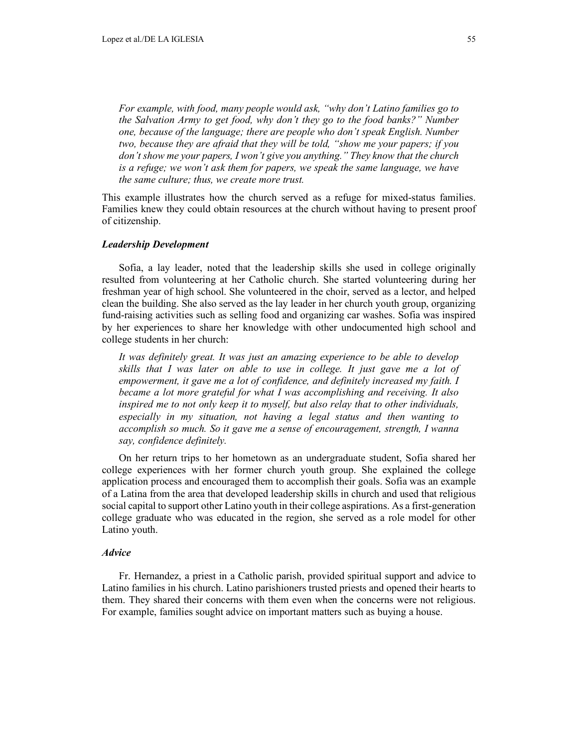*For example, with food, many people would ask, "why don't Latino families go to the Salvation Army to get food, why don't they go to the food banks?" Number one, because of the language; there are people who don't speak English. Number two, because they are afraid that they will be told, "show me your papers; if you don't show me your papers, I won't give you anything." They know that the church is a refuge; we won't ask them for papers, we speak the same language, we have the same culture; thus, we create more trust.*

This example illustrates how the church served as a refuge for mixed-status families. Families knew they could obtain resources at the church without having to present proof of citizenship.

### *Leadership Development*

Sofia, a lay leader, noted that the leadership skills she used in college originally resulted from volunteering at her Catholic church. She started volunteering during her freshman year of high school. She volunteered in the choir, served as a lector, and helped clean the building. She also served as the lay leader in her church youth group, organizing fund-raising activities such as selling food and organizing car washes. Sofia was inspired by her experiences to share her knowledge with other undocumented high school and college students in her church:

*It was definitely great. It was just an amazing experience to be able to develop skills that I was later on able to use in college. It just gave me a lot of empowerment, it gave me a lot of confidence, and definitely increased my faith. I became a lot more grateful for what I was accomplishing and receiving. It also inspired me to not only keep it to myself, but also relay that to other individuals, especially in my situation, not having a legal status and then wanting to accomplish so much. So it gave me a sense of encouragement, strength, I wanna say, confidence definitely.*

On her return trips to her hometown as an undergraduate student, Sofia shared her college experiences with her former church youth group. She explained the college application process and encouraged them to accomplish their goals. Sofia was an example of a Latina from the area that developed leadership skills in church and used that religious social capital to support other Latino youth in their college aspirations. As a first-generation college graduate who was educated in the region, she served as a role model for other Latino youth.

#### *Advice*

Fr. Hernandez, a priest in a Catholic parish, provided spiritual support and advice to Latino families in his church. Latino parishioners trusted priests and opened their hearts to them. They shared their concerns with them even when the concerns were not religious. For example, families sought advice on important matters such as buying a house.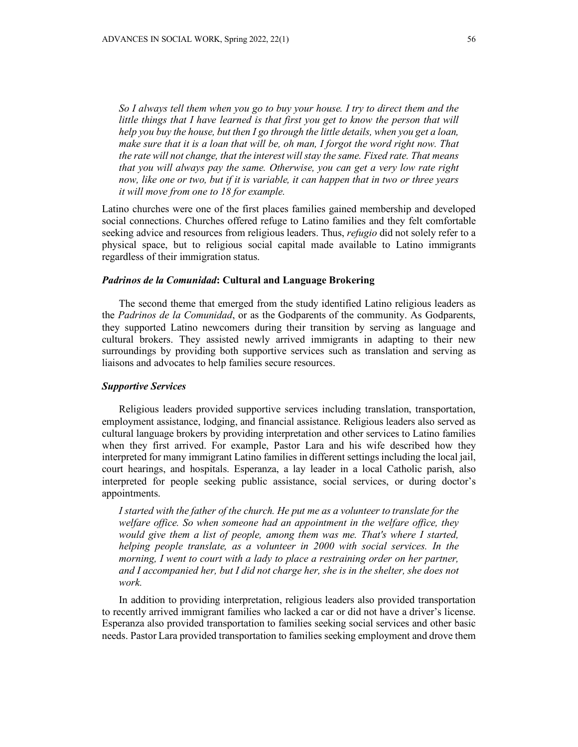*So I always tell them when you go to buy your house. I try to direct them and the*  little things that I have learned is that first you get to know the person that will *help you buy the house, but then I go through the little details, when you get a loan, make sure that it is a loan that will be, oh man, I forgot the word right now. That the rate will not change, that the interest will stay the same. Fixed rate. That means that you will always pay the same. Otherwise, you can get a very low rate right now, like one or two, but if it is variable, it can happen that in two or three years it will move from one to 18 for example.*

Latino churches were one of the first places families gained membership and developed social connections. Churches offered refuge to Latino families and they felt comfortable seeking advice and resources from religious leaders. Thus, *refugio* did not solely refer to a physical space, but to religious social capital made available to Latino immigrants regardless of their immigration status.

## *Padrinos de la Comunidad***: Cultural and Language Brokering**

The second theme that emerged from the study identified Latino religious leaders as the *Padrinos de la Comunidad*, or as the Godparents of the community. As Godparents, they supported Latino newcomers during their transition by serving as language and cultural brokers. They assisted newly arrived immigrants in adapting to their new surroundings by providing both supportive services such as translation and serving as liaisons and advocates to help families secure resources.

## *Supportive Services*

Religious leaders provided supportive services including translation, transportation, employment assistance, lodging, and financial assistance. Religious leaders also served as cultural language brokers by providing interpretation and other services to Latino families when they first arrived. For example, Pastor Lara and his wife described how they interpreted for many immigrant Latino families in different settings including the local jail, court hearings, and hospitals. Esperanza, a lay leader in a local Catholic parish, also interpreted for people seeking public assistance, social services, or during doctor's appointments.

*I started with the father of the church. He put me as a volunteer to translate for the welfare office. So when someone had an appointment in the welfare office, they*  would give them a list of people, among them was me. That's where I started, *helping people translate, as a volunteer in 2000 with social services. In the morning, I went to court with a lady to place a restraining order on her partner, and I accompanied her, but I did not charge her, she is in the shelter, she does not work.*

In addition to providing interpretation, religious leaders also provided transportation to recently arrived immigrant families who lacked a car or did not have a driver's license. Esperanza also provided transportation to families seeking social services and other basic needs. Pastor Lara provided transportation to families seeking employment and drove them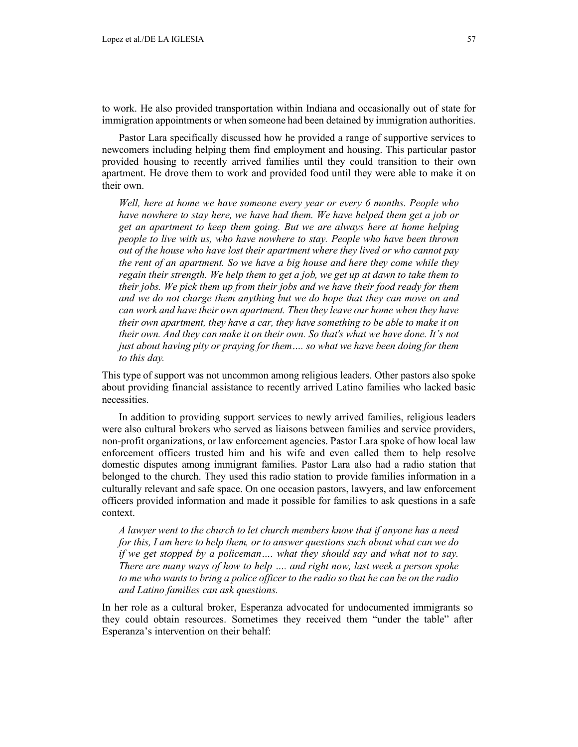to work. He also provided transportation within Indiana and occasionally out of state for immigration appointments or when someone had been detained by immigration authorities.

Pastor Lara specifically discussed how he provided a range of supportive services to newcomers including helping them find employment and housing. This particular pastor provided housing to recently arrived families until they could transition to their own apartment. He drove them to work and provided food until they were able to make it on their own.

*Well, here at home we have someone every year or every 6 months. People who have nowhere to stay here, we have had them. We have helped them get a job or get an apartment to keep them going. But we are always here at home helping people to live with us, who have nowhere to stay. People who have been thrown out of the house who have lost their apartment where they lived or who cannot pay the rent of an apartment. So we have a big house and here they come while they*  regain their strength. We help them to get a job, we get up at dawn to take them to *their jobs. We pick them up from their jobs and we have their food ready for them and we do not charge them anything but we do hope that they can move on and can work and have their own apartment. Then they leave our home when they have their own apartment, they have a car, they have something to be able to make it on their own. And they can make it on their own. So that's what we have done. It's not just about having pity or praying for them.... so what we have been doing for them to this day.*

This type of support was not uncommon among religious leaders. Other pastors also spoke about providing financial assistance to recently arrived Latino families who lacked basic necessities.

In addition to providing support services to newly arrived families, religious leaders were also cultural brokers who served as liaisons between families and service providers, non-profit organizations, or law enforcement agencies. Pastor Lara spoke of how local law enforcement officers trusted him and his wife and even called them to help resolve domestic disputes among immigrant families. Pastor Lara also had a radio station that belonged to the church. They used this radio station to provide families information in a culturally relevant and safe space. On one occasion pastors, lawyers, and law enforcement officers provided information and made it possible for families to ask questions in a safe context.

*A lawyer went to the church to let church members know that if anyone has a need for this, I am here to help them, or to answer questions such about what can we do if we get stopped by a policeman…. what they should say and what not to say. There are many ways of how to help …. and right now, last week a person spoke to me who wants to bring a police officer to the radio so that he can be on the radio and Latino families can ask questions.*

In her role as a cultural broker, Esperanza advocated for undocumented immigrants so they could obtain resources. Sometimes they received them "under the table" after Esperanza's intervention on their behalf: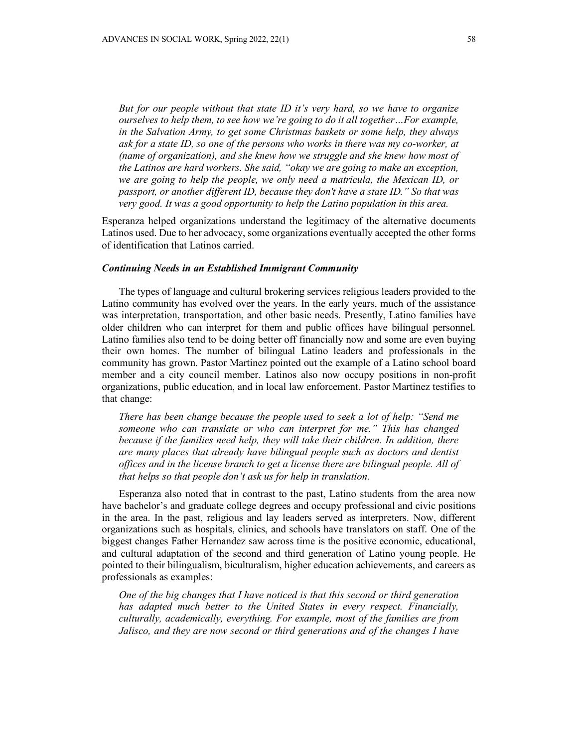*But for our people without that state ID it's very hard, so we have to organize ourselves to help them, to see how we're going to do it all together…For example, in the Salvation Army, to get some Christmas baskets or some help, they always ask for a state ID, so one of the persons who works in there was my co-worker, at (name of organization), and she knew how we struggle and she knew how most of the Latinos are hard workers. She said, "okay we are going to make an exception, we are going to help the people, we only need a matricula, the Mexican ID, or passport, or another different ID, because they don't have a state ID." So that was very good. It was a good opportunity to help the Latino population in this area.*

Esperanza helped organizations understand the legitimacy of the alternative documents Latinos used. Due to her advocacy, some organizations eventually accepted the other forms of identification that Latinos carried.

#### *Continuing Needs in an Established Immigrant Community*

The types of language and cultural brokering services religious leaders provided to the Latino community has evolved over the years. In the early years, much of the assistance was interpretation, transportation, and other basic needs. Presently, Latino families have older children who can interpret for them and public offices have bilingual personnel. Latino families also tend to be doing better off financially now and some are even buying their own homes. The number of bilingual Latino leaders and professionals in the community has grown. Pastor Martinez pointed out the example of a Latino school board member and a city council member. Latinos also now occupy positions in non-profit organizations, public education, and in local law enforcement. Pastor Martinez testifies to that change:

*There has been change because the people used to seek a lot of help: "Send me someone who can translate or who can interpret for me." This has changed because if the families need help, they will take their children. In addition, there are many places that already have bilingual people such as doctors and dentist offices and in the license branch to get a license there are bilingual people. All of that helps so that people don't ask us for help in translation.*

Esperanza also noted that in contrast to the past, Latino students from the area now have bachelor's and graduate college degrees and occupy professional and civic positions in the area. In the past, religious and lay leaders served as interpreters. Now, different organizations such as hospitals, clinics, and schools have translators on staff. One of the biggest changes Father Hernandez saw across time is the positive economic, educational, and cultural adaptation of the second and third generation of Latino young people. He pointed to their bilingualism, biculturalism, higher education achievements, and careers as professionals as examples:

*One of the big changes that I have noticed is that this second or third generation has adapted much better to the United States in every respect. Financially, culturally, academically, everything. For example, most of the families are from Jalisco, and they are now second or third generations and of the changes I have*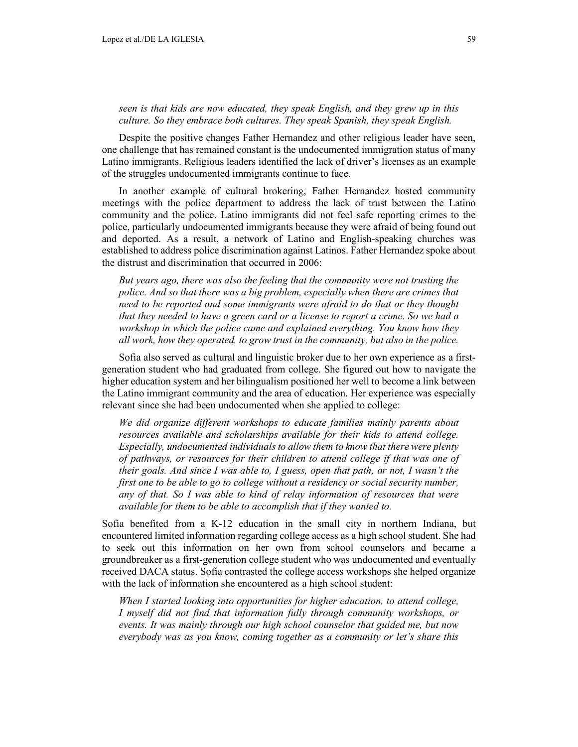# *seen is that kids are now educated, they speak English, and they grew up in this culture. So they embrace both cultures. They speak Spanish, they speak English.*

Despite the positive changes Father Hernandez and other religious leader have seen, one challenge that has remained constant is the undocumented immigration status of many Latino immigrants. Religious leaders identified the lack of driver's licenses as an example of the struggles undocumented immigrants continue to face.

In another example of cultural brokering, Father Hernandez hosted community meetings with the police department to address the lack of trust between the Latino community and the police. Latino immigrants did not feel safe reporting crimes to the police, particularly undocumented immigrants because they were afraid of being found out and deported. As a result, a network of Latino and English-speaking churches was established to address police discrimination against Latinos. Father Hernandez spoke about the distrust and discrimination that occurred in 2006:

*But years ago, there was also the feeling that the community were not trusting the police. And so that there was a big problem, especially when there are crimes that need to be reported and some immigrants were afraid to do that or they thought that they needed to have a green card or a license to report a crime. So we had a workshop in which the police came and explained everything. You know how they all work, how they operated, to grow trust in the community, but also in the police.*

Sofia also served as cultural and linguistic broker due to her own experience as a firstgeneration student who had graduated from college. She figured out how to navigate the higher education system and her bilingualism positioned her well to become a link between the Latino immigrant community and the area of education. Her experience was especially relevant since she had been undocumented when she applied to college:

*We did organize different workshops to educate families mainly parents about resources available and scholarships available for their kids to attend college. Especially, undocumented individuals to allow them to know that there were plenty of pathways, or resources for their children to attend college if that was one of their goals. And since I was able to, I guess, open that path, or not, I wasn't the*  first one to be able to go to college without a residency or social security number, *any of that. So I was able to kind of relay information of resources that were available for them to be able to accomplish that if they wanted to.*

Sofia benefited from a K-12 education in the small city in northern Indiana, but encountered limited information regarding college access as a high school student. She had to seek out this information on her own from school counselors and became a groundbreaker as a first-generation college student who was undocumented and eventually received DACA status. Sofia contrasted the college access workshops she helped organize with the lack of information she encountered as a high school student:

*When I started looking into opportunities for higher education, to attend college, I myself did not find that information fully through community workshops, or events. It was mainly through our high school counselor that guided me, but now everybody was as you know, coming together as a community or let's share this*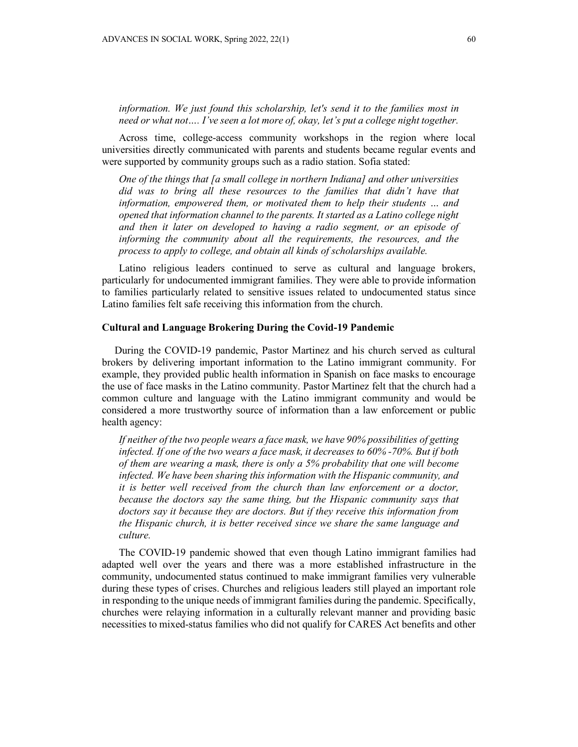*information. We just found this scholarship, let's send it to the families most in need or what not…. I've seen a lot more of, okay, let's put a college night together.* 

Across time, college-access community workshops in the region where local universities directly communicated with parents and students became regular events and were supported by community groups such as a radio station. Sofia stated:

*One of the things that [a small college in northern Indiana] and other universities did was to bring all these resources to the families that didn't have that information, empowered them, or motivated them to help their students … and opened that information channel to the parents. It started as a Latino college night and then it later on developed to having a radio segment, or an episode of informing the community about all the requirements, the resources, and the process to apply to college, and obtain all kinds of scholarships available.*

Latino religious leaders continued to serve as cultural and language brokers, particularly for undocumented immigrant families. They were able to provide information to families particularly related to sensitive issues related to undocumented status since Latino families felt safe receiving this information from the church.

## **Cultural and Language Brokering During the Covid-19 Pandemic**

During the COVID-19 pandemic, Pastor Martinez and his church served as cultural brokers by delivering important information to the Latino immigrant community. For example, they provided public health information in Spanish on face masks to encourage the use of face masks in the Latino community. Pastor Martinez felt that the church had a common culture and language with the Latino immigrant community and would be considered a more trustworthy source of information than a law enforcement or public health agency:

*If neither of the two people wears a face mask, we have 90% possibilities of getting infected. If one of the two wears a face mask, it decreases to 60% -70%. But if both of them are wearing a mask, there is only a 5% probability that one will become infected. We have been sharing this information with the Hispanic community, and it is better well received from the church than law enforcement or a doctor, because the doctors say the same thing, but the Hispanic community says that doctors say it because they are doctors. But if they receive this information from the Hispanic church, it is better received since we share the same language and culture.*

The COVID-19 pandemic showed that even though Latino immigrant families had adapted well over the years and there was a more established infrastructure in the community, undocumented status continued to make immigrant families very vulnerable during these types of crises. Churches and religious leaders still played an important role in responding to the unique needs of immigrant families during the pandemic. Specifically, churches were relaying information in a culturally relevant manner and providing basic necessities to mixed-status families who did not qualify for CARES Act benefits and other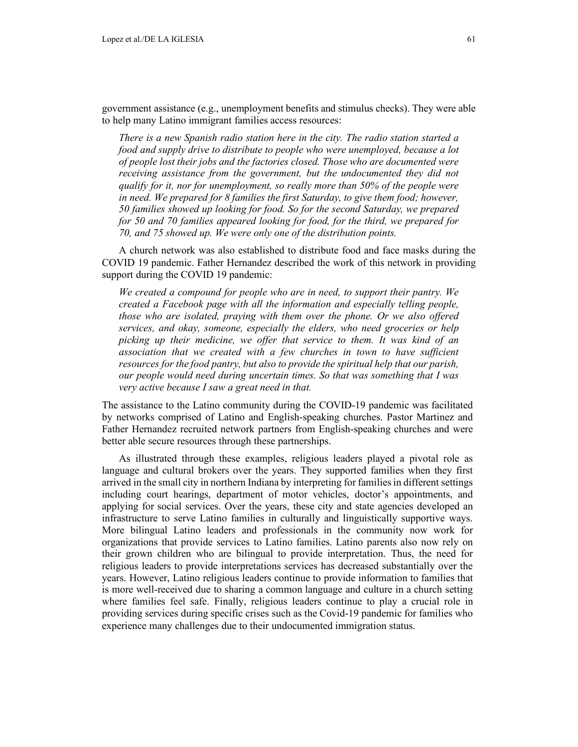*There is a new Spanish radio station here in the city. The radio station started a food and supply drive to distribute to people who were unemployed, because a lot of people lost their jobs and the factories closed. Those who are documented were receiving assistance from the government, but the undocumented they did not qualify for it, nor for unemployment, so really more than 50% of the people were in need. We prepared for 8 families the first Saturday, to give them food; however, 50 families showed up looking for food. So for the second Saturday, we prepared for 50 and 70 families appeared looking for food, for the third, we prepared for 70, and 75 showed up. We were only one of the distribution points.*

A church network was also established to distribute food and face masks during the COVID 19 pandemic. Father Hernandez described the work of this network in providing support during the COVID 19 pandemic:

*We created a compound for people who are in need, to support their pantry. We created a Facebook page with all the information and especially telling people, those who are isolated, praying with them over the phone. Or we also offered services, and okay, someone, especially the elders, who need groceries or help picking up their medicine, we offer that service to them. It was kind of an association that we created with a few churches in town to have sufficient resources for the food pantry, but also to provide the spiritual help that our parish, our people would need during uncertain times. So that was something that I was very active because I saw a great need in that.*

The assistance to the Latino community during the COVID-19 pandemic was facilitated by networks comprised of Latino and English-speaking churches. Pastor Martinez and Father Hernandez recruited network partners from English-speaking churches and were better able secure resources through these partnerships.

As illustrated through these examples, religious leaders played a pivotal role as language and cultural brokers over the years. They supported families when they first arrived in the small city in northern Indiana by interpreting for families in different settings including court hearings, department of motor vehicles, doctor's appointments, and applying for social services. Over the years, these city and state agencies developed an infrastructure to serve Latino families in culturally and linguistically supportive ways. More bilingual Latino leaders and professionals in the community now work for organizations that provide services to Latino families. Latino parents also now rely on their grown children who are bilingual to provide interpretation. Thus, the need for religious leaders to provide interpretations services has decreased substantially over the years. However, Latino religious leaders continue to provide information to families that is more well-received due to sharing a common language and culture in a church setting where families feel safe. Finally, religious leaders continue to play a crucial role in providing services during specific crises such as the Covid-19 pandemic for families who experience many challenges due to their undocumented immigration status.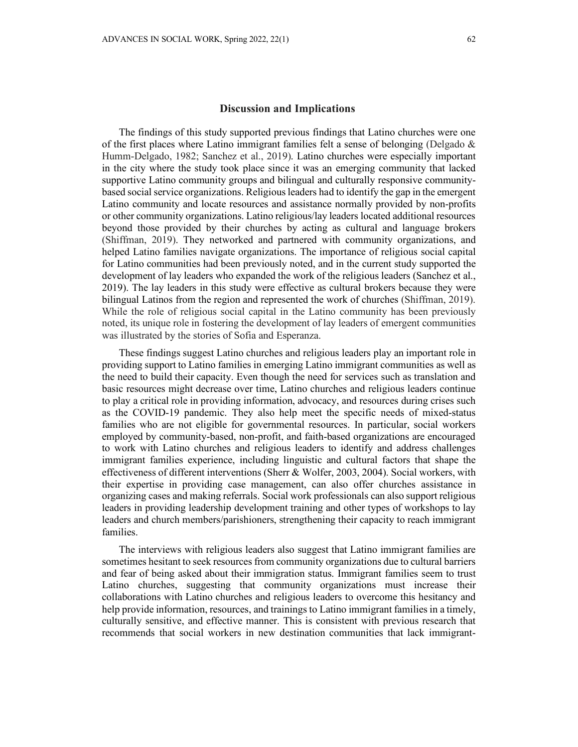The findings of this study supported previous findings that Latino churches were one of the first places where Latino immigrant families felt a sense of belonging (Delgado  $\&$ Humm-Delgado, 1982; Sanchez et al., 2019). Latino churches were especially important in the city where the study took place since it was an emerging community that lacked supportive Latino community groups and bilingual and culturally responsive communitybased social service organizations. Religious leaders had to identify the gap in the emergent Latino community and locate resources and assistance normally provided by non-profits or other community organizations. Latino religious/lay leaders located additional resources beyond those provided by their churches by acting as cultural and language brokers (Shiffman, 2019). They networked and partnered with community organizations, and helped Latino families navigate organizations. The importance of religious social capital for Latino communities had been previously noted, and in the current study supported the development of lay leaders who expanded the work of the religious leaders (Sanchez et al., 2019). The lay leaders in this study were effective as cultural brokers because they were bilingual Latinos from the region and represented the work of churches (Shiffman, 2019). While the role of religious social capital in the Latino community has been previously noted, its unique role in fostering the development of lay leaders of emergent communities was illustrated by the stories of Sofia and Esperanza.

These findings suggest Latino churches and religious leaders play an important role in providing support to Latino families in emerging Latino immigrant communities as well as the need to build their capacity. Even though the need for services such as translation and basic resources might decrease over time, Latino churches and religious leaders continue to play a critical role in providing information, advocacy, and resources during crises such as the COVID-19 pandemic. They also help meet the specific needs of mixed-status families who are not eligible for governmental resources. In particular, social workers employed by community-based, non-profit, and faith-based organizations are encouraged to work with Latino churches and religious leaders to identify and address challenges immigrant families experience, including linguistic and cultural factors that shape the effectiveness of different interventions (Sherr & Wolfer, 2003, 2004). Social workers, with their expertise in providing case management, can also offer churches assistance in organizing cases and making referrals. Social work professionals can also support religious leaders in providing leadership development training and other types of workshops to lay leaders and church members/parishioners, strengthening their capacity to reach immigrant families.

The interviews with religious leaders also suggest that Latino immigrant families are sometimes hesitant to seek resources from community organizations due to cultural barriers and fear of being asked about their immigration status. Immigrant families seem to trust Latino churches, suggesting that community organizations must increase their collaborations with Latino churches and religious leaders to overcome this hesitancy and help provide information, resources, and trainings to Latino immigrant families in a timely, culturally sensitive, and effective manner. This is consistent with previous research that recommends that social workers in new destination communities that lack immigrant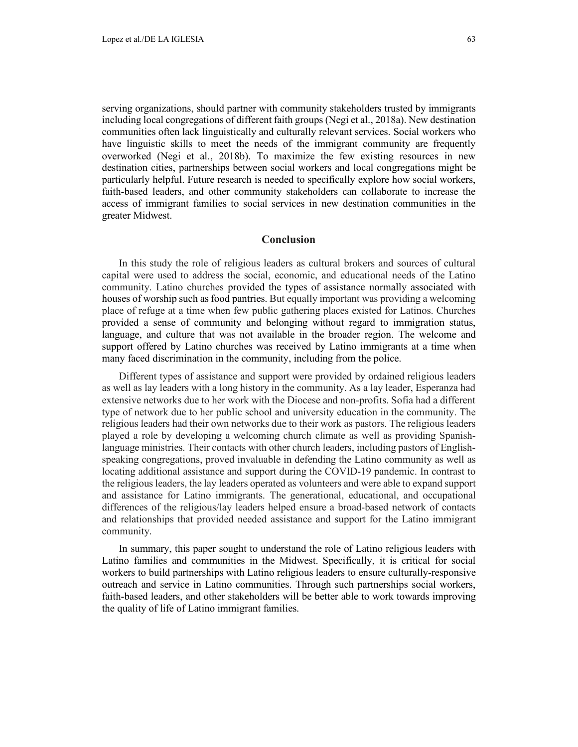serving organizations, should partner with community stakeholders trusted by immigrants including local congregations of different faith groups (Negi et al., 2018a). New destination communities often lack linguistically and culturally relevant services. Social workers who have linguistic skills to meet the needs of the immigrant community are frequently overworked (Negi et al., 2018b). To maximize the few existing resources in new destination cities, partnerships between social workers and local congregations might be particularly helpful. Future research is needed to specifically explore how social workers, faith-based leaders, and other community stakeholders can collaborate to increase the access of immigrant families to social services in new destination communities in the greater Midwest.

## **Conclusion**

In this study the role of religious leaders as cultural brokers and sources of cultural capital were used to address the social, economic, and educational needs of the Latino community. Latino churches provided the types of assistance normally associated with houses of worship such as food pantries. But equally important was providing a welcoming place of refuge at a time when few public gathering places existed for Latinos. Churches provided a sense of community and belonging without regard to immigration status, language, and culture that was not available in the broader region. The welcome and support offered by Latino churches was received by Latino immigrants at a time when many faced discrimination in the community, including from the police.

Different types of assistance and support were provided by ordained religious leaders as well as lay leaders with a long history in the community. As a lay leader, Esperanza had extensive networks due to her work with the Diocese and non-profits. Sofia had a different type of network due to her public school and university education in the community. The religious leaders had their own networks due to their work as pastors. The religious leaders played a role by developing a welcoming church climate as well as providing Spanishlanguage ministries. Their contacts with other church leaders, including pastors of Englishspeaking congregations, proved invaluable in defending the Latino community as well as locating additional assistance and support during the COVID-19 pandemic. In contrast to the religious leaders, the lay leaders operated as volunteers and were able to expand support and assistance for Latino immigrants. The generational, educational, and occupational differences of the religious/lay leaders helped ensure a broad-based network of contacts and relationships that provided needed assistance and support for the Latino immigrant community.

In summary, this paper sought to understand the role of Latino religious leaders with Latino families and communities in the Midwest. Specifically, it is critical for social workers to build partnerships with Latino religious leaders to ensure culturally-responsive outreach and service in Latino communities. Through such partnerships social workers, faith-based leaders, and other stakeholders will be better able to work towards improving the quality of life of Latino immigrant families.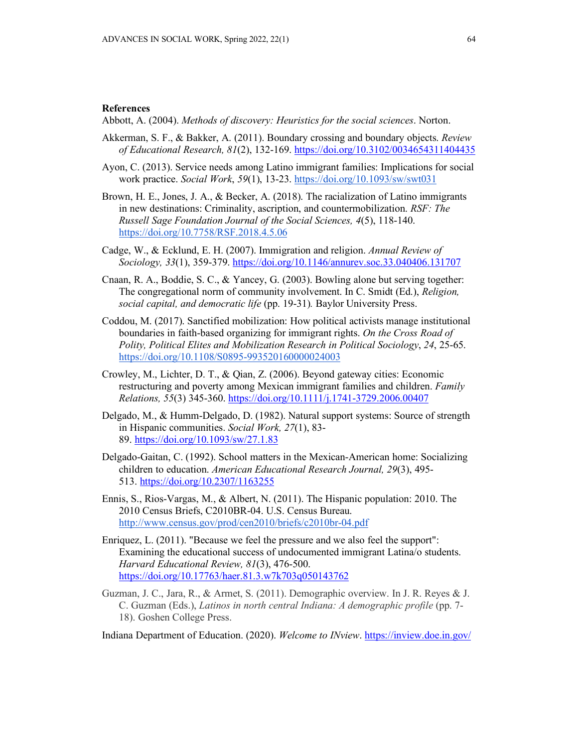Abbott, A. (2004). *Methods of discovery: Heuristics for the social sciences*. Norton.

- Akkerman, S. F., & Bakker, A. (2011). Boundary crossing and boundary objects. *Review of Educational Research, 81*(2), 132-169[. https://doi.org/10.3102/0034654311404435](https://doi.org/10.3102/0034654311404435)
- Ayon, C. (2013). Service needs among Latino immigrant families: Implications for social work practice. *Social Work*, *59*(1), 13-23[. https://doi.org/10.1093/sw/swt031](https://doi.org/10.1093/sw/swt031)
- Brown, H. E., Jones, J. A., & Becker, A. (2018). The racialization of Latino immigrants in new destinations: Criminality, ascription, and countermobilization. *RSF: The Russell Sage Foundation Journal of the Social Sciences, 4*(5), 118-140. <https://doi.org/10.7758/RSF.2018.4.5.06>
- Cadge, W., & Ecklund, E. H. (2007). Immigration and religion. *Annual Review of Sociology, 33*(1), 359-379.<https://doi.org/10.1146/annurev.soc.33.040406.131707>
- Cnaan, R. A., Boddie, S. C., & Yancey, G. (2003). Bowling alone but serving together: The congregational norm of community involvement. In C. Smidt (Ed.), *Religion, social capital, and democratic life* (pp. 19-31)*.* Baylor University Press.
- Coddou, M. (2017). Sanctified mobilization: How political activists manage institutional boundaries in faith-based organizing for immigrant rights. *On the Cross Road of Polity, Political Elites and Mobilization Research in Political Sociology*, *24*, 25-65. <https://doi.org/10.1108/S0895-993520160000024003>
- Crowley, M., Lichter, D. T., & Qian, Z. (2006). Beyond gateway cities: Economic restructuring and poverty among Mexican immigrant families and children. *Family Relations, 55*(3) 345-360.<https://doi.org/10.1111/j.1741-3729.2006.00407>
- Delgado, M., & Humm-Delgado, D. (1982). Natural support systems: Source of strength in Hispanic communities. *Social Work, 27*(1), 83- 89.<https://doi.org/10.1093/sw/27.1.83>
- Delgado-Gaitan, C. (1992). School matters in the Mexican-American home: Socializing children to education. *American Educational Research Journal, 29*(3), 495 513. [https://doi.org/10.2307/1163255](https://psycnet.apa.org/doi/10.2307/1163255)
- Ennis, S., Rios-Vargas, M., & Albert, N. (2011). The Hispanic population: 2010. The 2010 Census Briefs, C2010BR-04. U.S. Census Bureau. <http://www.census.gov/prod/cen2010/briefs/c2010br-04.pdf>
- Enriquez, L. (2011). "Because we feel the pressure and we also feel the support": Examining the educational success of undocumented immigrant Latina/o students. *Harvard Educational Review, 81*(3), 476-500. <https://doi.org/10.17763/haer.81.3.w7k703q050143762>
- Guzman, J. C., Jara, R., & Armet, S. (2011). Demographic overview. In J. R. Reyes & J. C. Guzman (Eds.), *Latinos in north central Indiana: A demographic profile* (pp. 7- 18). Goshen College Press.

Indiana Department of Education. (2020). *Welcome to INview*.<https://inview.doe.in.gov/>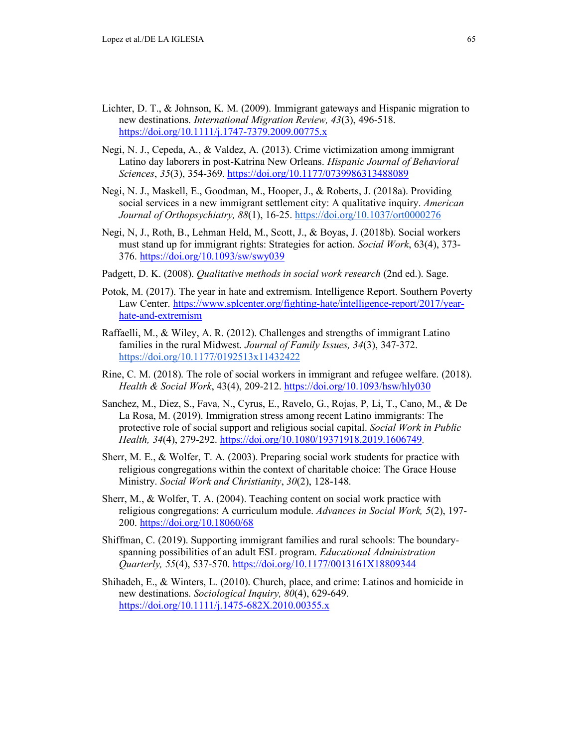- Lichter, D. T., & Johnson, K. M. (2009). Immigrant gateways and Hispanic migration to new destinations. *International Migration Review, 43*(3), 496-518. <https://doi.org/10.1111/j.1747-7379.2009.00775.x>
- Negi, N. J., Cepeda, A., & Valdez, A. (2013). Crime victimization among immigrant Latino day laborers in post-Katrina New Orleans. *Hispanic Journal of Behavioral Sciences*, *35*(3), 354-369.<https://doi.org/10.1177/0739986313488089>
- Negi, N. J., Maskell, E., Goodman, M., Hooper, J., & Roberts, J. (2018a). Providing social services in a new immigrant settlement city: A qualitative inquiry. *American Journal of Orthopsychiatry, 88*(1), 16-25.<https://doi.org/10.1037/ort0000276>
- Negi, N, J., Roth, B., Lehman Held, M., Scott, J., & Boyas, J. (2018b). Social workers must stand up for immigrant rights: Strategies for action. *Social Work*, 63(4), 373- 376.<https://doi.org/10.1093/sw/swy039>
- Padgett, D. K. (2008). *Qualitative methods in social work research* (2nd ed.). Sage.
- Potok, M. (2017). The year in hate and extremism. Intelligence Report. Southern Poverty Law Center. [https://www.splcenter.org/fighting-hate/intelligence-report/2017/year](https://www.splcenter.org/fighting-hate/intelligence-report/2017/year-hate-and-extremism)[hate-and-extremism](https://www.splcenter.org/fighting-hate/intelligence-report/2017/year-hate-and-extremism)
- Raffaelli, M., & Wiley, A. R. (2012). Challenges and strengths of immigrant Latino families in the rural Midwest. *Journal of Family Issues, 34*(3), 347-372. <https://doi.org/10.1177/0192513x11432422>
- Rine, C. M. (2018). The role of social workers in immigrant and refugee welfare. (2018). *Health & Social Work*, 43(4), 209-212.<https://doi.org/10.1093/hsw/hly030>
- Sanchez, M., Diez, S., Fava, N., Cyrus, E., Ravelo, G., Rojas, P, Li, T., Cano, M., & De La Rosa, M. (2019). Immigration stress among recent Latino immigrants: The protective role of social support and religious social capital. *Social Work in Public Health, 34*(4), 279-292. [https://doi.org/10.1080/19371918.2019.1606749.](https://doi.org/10.1080/19371918.2019.1606749)
- Sherr, M. E., & Wolfer, T. A. (2003). Preparing social work students for practice with religious congregations within the context of charitable choice: The Grace House Ministry. *Social Work and Christianity*, *30*(2), 128-148.
- Sherr, M., & Wolfer, T. A. (2004). Teaching content on social work practice with religious congregations: A curriculum module. *Advances in Social Work, 5*(2), 197- 200.<https://doi.org/10.18060/68>
- Shiffman, C. (2019). Supporting immigrant families and rural schools: The boundaryspanning possibilities of an adult ESL program. *Educational Administration Quarterly, 55*(4), 537-570.<https://doi.org/10.1177/0013161X18809344>
- Shihadeh, E., & Winters, L. (2010). Church, place, and crime: Latinos and homicide in new destinations. *Sociological Inquiry, 80*(4), 629-649. <https://doi.org/10.1111/j.1475-682X.2010.00355.x>